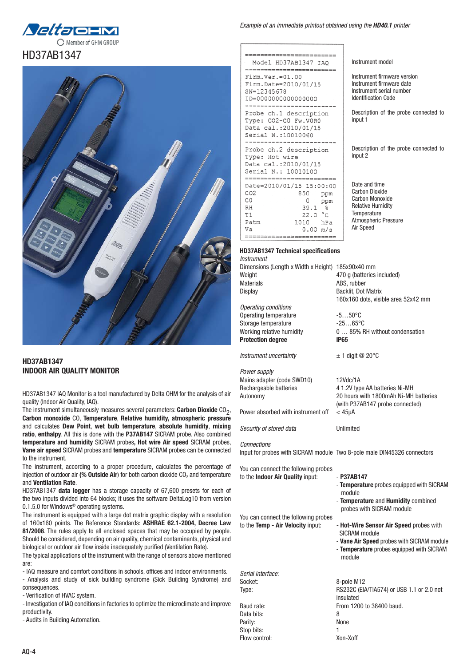



## HD37AB1347 INDOOR AIR QUALITY MONITOR

HD37AB1347 IAQ Monitor is a tool manufactured by Delta OHM for the analysis of air quality (Indoor Air Quality, IAQ).

The instrument simultaneously measures several parameters: Carbon Dioxide  $CO<sub>2</sub>$ , Carbon monoxide CO, Temperature, Relative humidity, atmospheric pressure and calculates Dew Point, wet bulb temperature, absolute humidity, mixing ratio, enthalpy. All this is done with the P37AB147 SICRAM probe. Also combined temperature and humidity SICRAM probes, Hot wire Air speed SICRAM probes, Vane air speed SICRAM probes and temperature SICRAM probes can be connected to the instrument.

The instrument, according to a proper procedure, calculates the percentage of injection of outdoor air (% Outside Air) for both carbon dioxide  $CO<sub>2</sub>$  and temperature and Ventilation Rate.

HD37AB1347 data logger has a storage capacity of 67,600 presets for each of the two inputs divided into 64 blocks; it uses the software DeltaLog10 from version 0.1.5.0 for Windows® operating systems.

The instrument is equipped with a large dot matrix graphic display with a resolution of 160x160 points. The Reference Standards: ASHRAE 62.1-2004, Decree Law 81/2008. The rules apply to all enclosed spaces that may be occupied by people. Should be considered, depending on air quality, chemical contaminants, physical and biological or outdoor air flow inside inadequately purified (Ventilation Rate).

The typical applications of the instrument with the range of sensors above mentioned are:

- IAQ measure and comfort conditions in schools, offices and indoor environments. - Analysis and study of sick building syndrome (Sick Building Syndrome) and consequences.

- Verification of HVAC system.

- Investigation of IAQ conditions in factories to optimize the microclimate and improve productivity.

- Audits in Building Automation.

## *Example of an immediate printout obtained using the HD40.1 printer*

Instrument model

input 1

input 2

Date and time Carbon Dioxide Carbon Monoxide Relative Humidity **Temperature** Atmospheric Pressure

Air Speed

160x160 dots, visible area 52x42 mm

ARS, rubber

Instrument firmware version Instrument firmware date Instrument serial number Identification Code

Description of the probe connected to

Description of the probe connected to

| Model HD37AB1347 IAO                                                                                                                                                                                                                                                       |
|----------------------------------------------------------------------------------------------------------------------------------------------------------------------------------------------------------------------------------------------------------------------------|
| $Firm.Ver.=01.00$<br>Firm.Date=2010/01/15<br>$SN = 12345678$<br>ID=000000000000000                                                                                                                                                                                         |
| Probe ch.1 description<br>Type: CO2-C0 Fw.VOR0<br>Data cal.: 2010/01/15<br>Serial N.:10010060                                                                                                                                                                              |
| Probe ch.2 description<br>Type: Hot wire<br>Data cal.:2010/01/15<br>Serial N.: 10010100<br>---------------------                                                                                                                                                           |
| Date=2010/01/15 15:00:00<br>CO <sub>2</sub><br>850<br>ppm<br>C.O<br>0<br>ppm<br>RH<br>39.1<br>$^{\circ}$<br>22.0 °C<br>T 1<br>Patm<br>1010 hPa<br>Va<br>$0.00$ m/s<br>In 1995 with 2012 2012 that they will your play your more man even were man away man man over one or |
|                                                                                                                                                                                                                                                                            |

#### HD37AB1347 Technical specifications *Instrument*

Dimensions (Length x Width x Height) 185x90x40 mm Weight  $\begin{array}{cc}\n\text{Weight} \\
\text{Matrix} \\
\text{Matrix} \\
\text{Matrix} \\
\text{Matrix} \\
\text{Matrix} \\
\text{Matrix} \\
\text{Matrix} \\
\text{Matrix} \\
\text{Matrix} \\
\text{Matrix} \\
\text{Matrix} \\
\text{Matrix} \\
\text{Matrix} \\
\text{Matrix} \\
\text{Matrix} \\
\text{Matrix} \\
\text{Matrix} \\
\text{Matrix} \\
\text{Matrix} \\
\text{Matrix} \\
\text{Matrix} \\
\text{Matrix} \\
\text{Matrix} \\
\text{Matrix} \\
\text{Matrix} \\
\text{Matrix} \\
\text{Matrix} \\
\text{Matrix} \\
\text{Matrix} \\
\text{Matrix} \\
\text{Matrix} \\
\text{Matrix} \\
\text{Matrix} \\
\text$ Display Backlit, Dot Matrix *Operating conditions*

Operating temperature  $-5...50^{\circ}$ C<br>Storage temperature  $-25.65^{\circ}$ C Storage temperature Working relative humidity  $0... 85%$  RH without condensation Protection degree **IP65** 

*Instrument uncertainty* ± 1 digit @ 20°C

*Power supply* Mains adapter (code SWD10) 12Vdc/1A Rechargeable batteries 4 1.2V type AA batteries Ni-MH Autonomy 20 hours with 1800mAh Ni-MH batteries

Power absorbed with instrument off < 45μA

*Security of stored data* Unlimited

## *Connections*

Stop bits:

Input for probes with SICRAM module Two 8-pole male DIN45326 connectors

You can connect the following probes to the Indoor Air Quality input: - P37AB147

> - Temperature probes equipped with SICRAM module - Temperature and Humidity combined probes with SICRAM module

(with P37AB147 probe connected)

You can connect the following probes

to the Temp - Air Velocity input: - Hot-Wire Sensor Air Speed probes with SICRAM module

- Vane Air Speed probes with SICRAM module - Temperature probes equipped with SICRAM
- module

*Serial interface:* Socket: 8-pole M12 Baud rate: From 1200 to 38400 baud. Data bits: 8 Parity: None

Type: RS232C (EIA/TIA574) or USB 1.1 or 2.0 not insulated Flow control: Xon-Xoff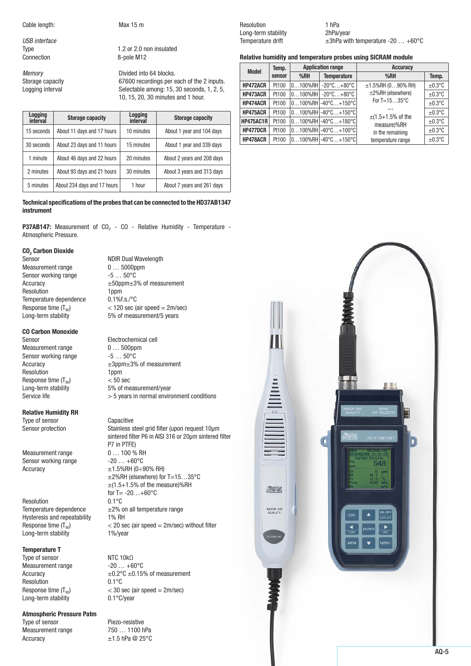Cable length: Max 15 m

*USB interface*

Type 1.2 or 2.0 non insulated<br>
Connection 
2-pole M12 8-pole M12

*Memory*<br> **COMPORTS EXECUTE:** Divided into 64 blocks.<br>
G7600 recordings per experience into the G7600 recordings per experience 67600 recordings per each of the 2 inputs. Logging interval Selectable among: 15, 30 seconds, 1, 2, 5, 10, 15, 20, 30 minutes and 1 hour.

| Logging<br>interval | <b>Storage capacity</b>     | Logging<br>interval | <b>Storage capacity</b>    |
|---------------------|-----------------------------|---------------------|----------------------------|
| 15 seconds          | About 11 days and 17 hours  | 10 minutes          | About 1 year and 104 days  |
| 30 seconds          | About 23 days and 11 hours  | 15 minutes          | About 1 year and 339 days  |
| 1 minute            | About 46 days and 22 hours  | 20 minutes          | About 2 years and 208 days |
| 2 minutes           | About 93 days and 21 hours  | 30 minutes          | About 3 years and 313 days |
| 5 minutes           | About 234 days and 17 hours | 1 hour              | About 7 years and 261 days |

## Technical specifications of the probes that can be connected to the HD37AB1347 instrument

**P37AB147:** Measurement of  $CO<sub>2</sub> - CO - Relative Humidity - Temperature -$ Atmospheric Pressure.

**NDIR Dual Wavelength** 

## CO<sub>2</sub> Carbon Dioxide<br>Sensor

Measurement range  $0... 5000$ ppm Sensor working range  $-5...50^{\circ}$ C Resolution 1ppm Temperature dependence  $0.1\%$ f.s./°C

## CO Carbon Monoxide

Measurement range  $0...500$ ppm<br>Sensor working range  $-5...50^{\circ}$ C Sensor working range Resolution 1ppm Response time  $(T_{90})$   $\leq 50$  sec<br>Long-term stability 5% of me

## Relative Humidity RH

Type of sensor Capacitive

Measurement range  $0... 100 \%$  RH Sensor working range  $-20...+60^{\circ}C$ 

Resolution<br>Temperature dependence Hysteresis and repeatability 1% RH Long-term stability 1%/year

## Temperature T

Type of sensor  $NTC 10k\Omega$ Measurement range  $-20...+60^{\circ}$ C Resolution 0.1°C Long-term stability

## Atmospheric Pressure Patm

Type of sensor Piezo-resistive Measurement range 750 ... 1100 hPa Accuracy  $\pm 1.5$  hPa @ 25°C

Accuracy ±50ppm±3% of measurement Response time ( $T_{90}$ )  $\lt$  120 sec (air speed = 2m/sec)<br>Long-term stability 5% of measurement/5 years 5% of measurement/5 years

Sensor Electrochemical cell Accuracy  $\pm 3$ ppm $\pm 3$ % of measurement 5% of measurement/year Service life  $> 5$  years in normal environment conditions

# Sensor protection Stainless steel grid filter (upon request 10µm

sintered filter P6 in AISI 316 or 20µm sintered filter P7 in PTFE)  $\triangle$  Accuracy  $\pm$ 1.5%RH (0 $\div$ 90% RH) ±2%RH (elsewhere) for T=15…35°C  $\pm$ (1.5+1.5% of the measure)%RH for T=  $-20...+60^{\circ}C$ <br> $0.1^{\circ}C$  $\pm$ 2% on all temperature range Response time  $(T_{90})$   $<$  20 sec (air speed = 2m/sec) without filter

Accuracy  $\pm 0.2^{\circ}$ C  $\pm 0.15$ % of measurement Response time  $(T_{90})$   $\leq 30$  sec (air speed = 2m/sec)<br>Long-term stability  $0.1^{\circ}$ C/vear

Resolution 1 hPa Long-term stability 2hPa/year

Temperature drift  $\pm 3h$ Pa with temperature -20  $\dots$  +60°C

Relative humidity and temperature probes using SICRAM module

| Temp.<br><b>Model</b> |        | <b>Application range</b> |                                               | <b>Accuracy</b>                       |              |
|-----------------------|--------|--------------------------|-----------------------------------------------|---------------------------------------|--------------|
|                       | sensor | %RH                      | <b>Temperature</b>                            | %RH                                   | Temp.        |
| HP472ACR              | Pt100  |                          | $0100\%$ RH $-20\degree$ C $+80\degree$ C     | $±1.5\%$ RH (090% RH)                 | $\pm 0.3$ °C |
| HP473ACR              | Pt100  |                          | $0100\%$ RH $-20\degree$ C $+80\degree$ C     | ±2%RH (elsewhere)                     | $±0.3$ °C    |
| <b>HP474ACR</b>       | Pt100  |                          | $0100\%$ RH $ -40^{\circ}$ C $+150^{\circ}$ C | For $T=1535$ °C                       | $\pm 0.3$ °C |
| HP475ACR              | Pt100  |                          | $0100\%$ RH $-40\degree$ C $+150\degree$ C    |                                       | $\pm 0.3$ °C |
| <b>HP475AC1R</b>      | Pt100  |                          | $0100\%$ RH $ -40^{\circ}$ C $+180^{\circ}$ C | $\pm(1.5+1.5\%$ of the<br>measure)%RH | $\pm 0.3$ °C |
| HP477DCR              | Pt100  |                          | $0100\%$ RH $ -40^{\circ}$ C $+100^{\circ}$ C | in the remaining                      | $\pm 0.3$ °C |
| HP478ACR              | Pt100  |                          | $0100\%$ RH $ -40^{\circ}$ C $+150^{\circ}$ C | temperature range                     | $\pm 0.3$ °C |

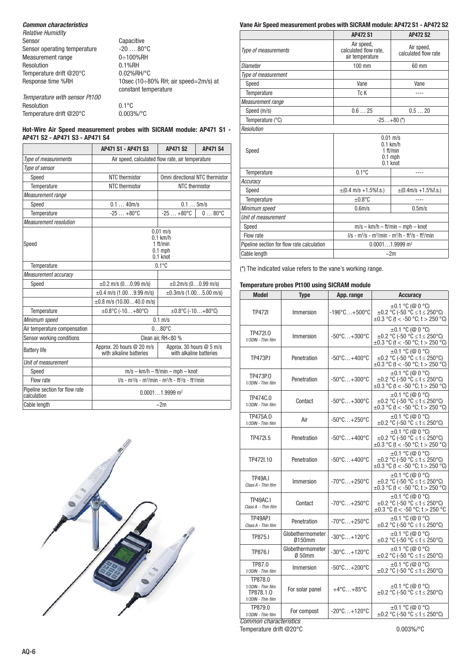## *Common characteristics*

| <b>Relative Humidity</b>      |                                                                     |
|-------------------------------|---------------------------------------------------------------------|
| Sensor                        | Capacitive                                                          |
| Sensor operating temperature  | $-2080^{\circ}C$                                                    |
| Measurement range             | 0÷100%RH                                                            |
| Resolution                    | $0.1%$ RH                                                           |
| Temperature drift @20°C       | $0.02\%$ RH/°C                                                      |
| Response time %RH             | 10sec (10 $\div$ 80% RH; air speed=2m/s) at<br>constant temperature |
| Temperature with sensor Pt100 |                                                                     |
| Resolution                    | $0.1^{\circ}$ C                                                     |
| Temperature drift @20°C       | $0.003\%$ /°C                                                       |

## Hot-Wire Air Speed measurement probes with SICRAM module: AP471 S1 - AP471 S2 - AP471 S3 - AP471 S4

|                                               | AP471 S1 - AP471 S3                                                     | <b>AP471 S2</b>                                     | <b>AP471 S4</b> |  |
|-----------------------------------------------|-------------------------------------------------------------------------|-----------------------------------------------------|-----------------|--|
| Type of measurements                          | Air speed, calculated flow rate, air temperature                        |                                                     |                 |  |
| Type of sensor                                |                                                                         |                                                     |                 |  |
| Speed                                         | NTC thermistor                                                          | Omni directional NTC thermistor                     |                 |  |
| Temperature                                   | NTC thermistor                                                          | NTC thermistor                                      |                 |  |
| Measurement range                             |                                                                         |                                                     |                 |  |
| Speed                                         | 0.140m/s                                                                | $0.1$ 5m/s                                          |                 |  |
| Temperature                                   | $-25+80°C$                                                              | $-25+80°C$                                          | $080^{\circ}C$  |  |
| <b>Measurement resolution</b>                 |                                                                         |                                                     |                 |  |
| Speed                                         | $0.01 \text{ m/s}$<br>$0.1$ km/h<br>1 ft/min<br>$0.1$ mph<br>$0.1$ knot |                                                     |                 |  |
| Temperature                                   | $0.1^{\circ}C$                                                          |                                                     |                 |  |
| Measurement accuracy                          |                                                                         |                                                     |                 |  |
| Speed                                         | $\pm 0.2$ m/s (00.99 m/s)                                               | $\pm 0.2$ m/s (00.99 m/s)                           |                 |  |
|                                               | $\pm 0.4$ m/s (1.009.99 m/s)                                            | $\pm 0.3$ m/s (1.005.00 m/s)                        |                 |  |
|                                               | $\pm 0.8$ m/s (10.0040.0 m/s)                                           |                                                     |                 |  |
| Temperature                                   | $\pm 0.8$ °C (-10+80°C)                                                 | $\pm 0.8$ °C (-10+80°C)                             |                 |  |
| Minimum speed                                 | $0.1$ m/s                                                               |                                                     |                 |  |
| Air temperature compensation                  | $080$ °C                                                                |                                                     |                 |  |
| Sensor working conditions                     | Clean air. RH<80 %                                                      |                                                     |                 |  |
| <b>Battery life</b>                           | Approx. 20 hours @ 20 m/s<br>with alkaline batteries                    | Approx. 30 hours @ 5 m/s<br>with alkaline batteries |                 |  |
| Unit of measurement                           |                                                                         |                                                     |                 |  |
| Speed                                         | $m/s - km/h - ft/min - mph - knot$                                      |                                                     |                 |  |
| Flow rate                                     | $1/s - m^3/s - m^3/min - m^3/h - ft^3/s - ft^3/min$                     |                                                     |                 |  |
| Pipeline section for flow rate<br>calculation | $0.00011.9999$ m <sup>2</sup>                                           |                                                     |                 |  |
| Cable length<br>$\sim$ 2m                     |                                                                         |                                                     |                 |  |



## Vane Air Speed measurement probes with SICRAM module: AP472 S1 - AP472 S2

|                                            | <b>AP472 S1</b>                                                         | <b>AP472 S2</b>                            |  |
|--------------------------------------------|-------------------------------------------------------------------------|--------------------------------------------|--|
| Type of measurements                       | Air speed,<br>calculated flow rate,<br>air temperature                  | Air speed,<br>calculated flow rate         |  |
| Diameter                                   | 100 mm                                                                  | 60 mm                                      |  |
| Type of measurement                        |                                                                         |                                            |  |
| Speed                                      | Vane                                                                    | Vane                                       |  |
| Temperature                                | Tc K                                                                    | ----                                       |  |
| Measurement range                          |                                                                         |                                            |  |
| Speed (m/s)                                | 0.625                                                                   | 0.520                                      |  |
| Temperature (°C)                           | $-25+80$ (*)                                                            |                                            |  |
| Resolution                                 |                                                                         |                                            |  |
| Speed                                      | $0.01 \text{ m/s}$<br>$0.1$ km/h<br>1 ft/min<br>$0.1$ mph<br>$0.1$ knot |                                            |  |
| Temperature                                | $0.1^{\circ}$ C                                                         | ----                                       |  |
| Accuracy                                   |                                                                         |                                            |  |
| Speed                                      | $\pm (0.4 \text{ m/s} + 1.5\% \text{f.s.})$                             | $\pm (0.4 \text{m/s} + 1.5\% \text{f.s.})$ |  |
| Temperature                                | $\pm 0.8$ °C                                                            |                                            |  |
| Minimum speed                              | 0.6 <sub>m/s</sub>                                                      | $0.5m$ /s                                  |  |
| Unit of measurement                        |                                                                         |                                            |  |
| Speed                                      | $m/s - km/h - ft/min - mph - knot$                                      |                                            |  |
| Flow rate                                  | $1/s - m^3/s - m^3/min - m^3/h - ft^3/s - ft^3/min$                     |                                            |  |
| Pipeline section for flow rate calculation | $0.00011.9999$ m <sup>2</sup>                                           |                                            |  |
| Cable length                               | $\sim$ 2m                                                               |                                            |  |

(\*) The indicated value refers to the vane's working range.

## Temperature probes Pt100 using SICRAM module

| <b>Model</b>                                                     | <b>Type</b>                | App. range                        | <b>Accuracy</b>                                                                                              |  |
|------------------------------------------------------------------|----------------------------|-----------------------------------|--------------------------------------------------------------------------------------------------------------|--|
| <b>TP472I</b>                                                    | Immersion                  | $-196^{\circ}$ C $+500^{\circ}$ C | ±0.1 °C (@ 0 °C)<br>$\pm 0.2$ °C (-50 °C $\le t \le 250$ °C)<br>$\pm 0.3$ °C (t < -50 °C; t > 250 °C)        |  |
| TP472I.0<br>1/3DIN - Thin film                                   | Immersion                  | $-50^{\circ}$ C $+300^{\circ}$ C  | ±0.1 °C (@ 0 °C)<br>$\pm 0.2$ °C (-50 °C $\le t \le 250$ °C)<br>$\pm 0.3$ °C (t < -50 °C; t > 250 °C)        |  |
| <b>TP473P.I</b>                                                  | Penetration                | $-50^{\circ}$ C $+400^{\circ}$ C  | ±0.1 °C (@ 0 °C)<br>±0.2 °C (-50 °C ≤ t ≤ 250°C)<br>$\pm 0.3$ °C (t < -50 °C; t > 250 °C)                    |  |
| TP473P.0<br>1/3DIN - Thin film                                   | Penetration                | $-50^{\circ}$ C $+300^{\circ}$ C  | ±0.1 °C (@ 0 °C)<br>±0.2 °C (-50 °C ≤ t ≤ 250°C)<br>$\pm 0.3$ °C (t < -50 °C; t > 250 °C)                    |  |
| TP474C.0<br>1/3DIN - Thin film                                   | Contact                    | $-50^{\circ}$ C $+300^{\circ}$ C  | $\pm 0.1$ °C (@ 0 °C)<br>±0.2 °C (-50 °C ≤ t ≤ 250°C)<br>$\pm 0.3$ °C (t < -50 °C; t > 250 °C)               |  |
| TP475A.0<br>1/3DIN - Thin film                                   | Air                        | $-50^{\circ}$ C $+250^{\circ}$ C  | ±0.1 °C (@ 0 °C)<br>±0.2 °C (-50 °C ≤ t ≤ 250°C)                                                             |  |
| TP472I.5                                                         | Penetration                | $-50^{\circ}$ C $+400^{\circ}$ C  | ±0.1 °C (@ 0 °C)<br>±0.2 °C (-50 °C ≤ t ≤ 250°C)<br>$\pm 0.3$ °C (t < -50 °C; t > 250 °C)                    |  |
| TP472I.10                                                        | Penetration                | $-50^{\circ}$ C $+400^{\circ}$ C  | $\pm 0.1$ °C (@ 0 °C)<br>$\pm 0.2$ °C (-50 °C $\leq t \leq 250$ °C)<br>$\pm 0.3$ °C (t < -50 °C; t > 250 °C) |  |
| <b>TP49A.I</b><br>Class A - Thin film                            | Immersion                  | $-70^{\circ}$ C $+250^{\circ}$ C  | ±0.1 °C (@ 0 °C)<br>±0.2 °C (-50 °C ≤ t ≤ 250°C)<br>$\pm 0.3$ °C (t < -50 °C; t > 250 °C)                    |  |
| TP49AC.I<br>Class A - Thin film                                  | Contact                    | $-70^{\circ}$ C $+250^{\circ}$ C  | $\pm 0.1$ °C (@ 0 °C)<br>±0.2 °C (-50 °C ≤ t ≤ 250°C)<br>$\pm 0.3$ °C (t < -50 °C; t > 250 °C                |  |
| TP49AP.I<br>Class A - Thin film                                  | Penetration                | $-70^{\circ}$ C $+250^{\circ}$ C  | ±0.1 °C (@ 0 °C)<br>±0.2 °C (-50 °C ≤ t ≤ 250°C)                                                             |  |
| <b>TP875.I</b>                                                   | Globethermometer<br>0150mm | $-30^{\circ}$ C $+120^{\circ}$ C  | $\pm 0.1$ °C (@ 0 °C)<br>$\pm 0.2$ °C (-50 °C $\leq t \leq 250$ °C)                                          |  |
| TP876.I                                                          | Globethermometer<br>Ø 50mm | $-30^{\circ}$ C+120 $^{\circ}$ C  | ±0.1 °C (@ 0 °C)<br>$\pm 0.2$ °C (-50 °C $\leq t \leq 250$ °C)                                               |  |
| TP87.0<br>1/3DIN - Thin film                                     | Immersion                  | $-50^{\circ}$ C $+200^{\circ}$ C  | $\pm 0.1$ °C (@ 0 °C)<br>$\pm 0.2$ °C (-50 °C $\leq t \leq 250$ °C)                                          |  |
| TP878.0<br>1/3DIN - Thin film<br>TP878.1.0<br>1/3DIN - Thin film | For solar panel            | $+4^{\circ}$ C $+85^{\circ}$ C    | $\pm 0.1$ °C (@ 0 °C)<br>±0.2 °C (-50 °C ≤ t ≤ 250°C)                                                        |  |
| TP879.0<br>1/3DIN - Thin film<br>Common characteristics          | For compost                | $-20^{\circ}$ C $+120^{\circ}$ C  | $\pm 0.1$ °C (@ 0 °C)<br>±0.2 °C (-50 °C ≤ t ≤ 250°C)                                                        |  |
|                                                                  |                            |                                   |                                                                                                              |  |

Temperature drift @20°C 0.003%/°C